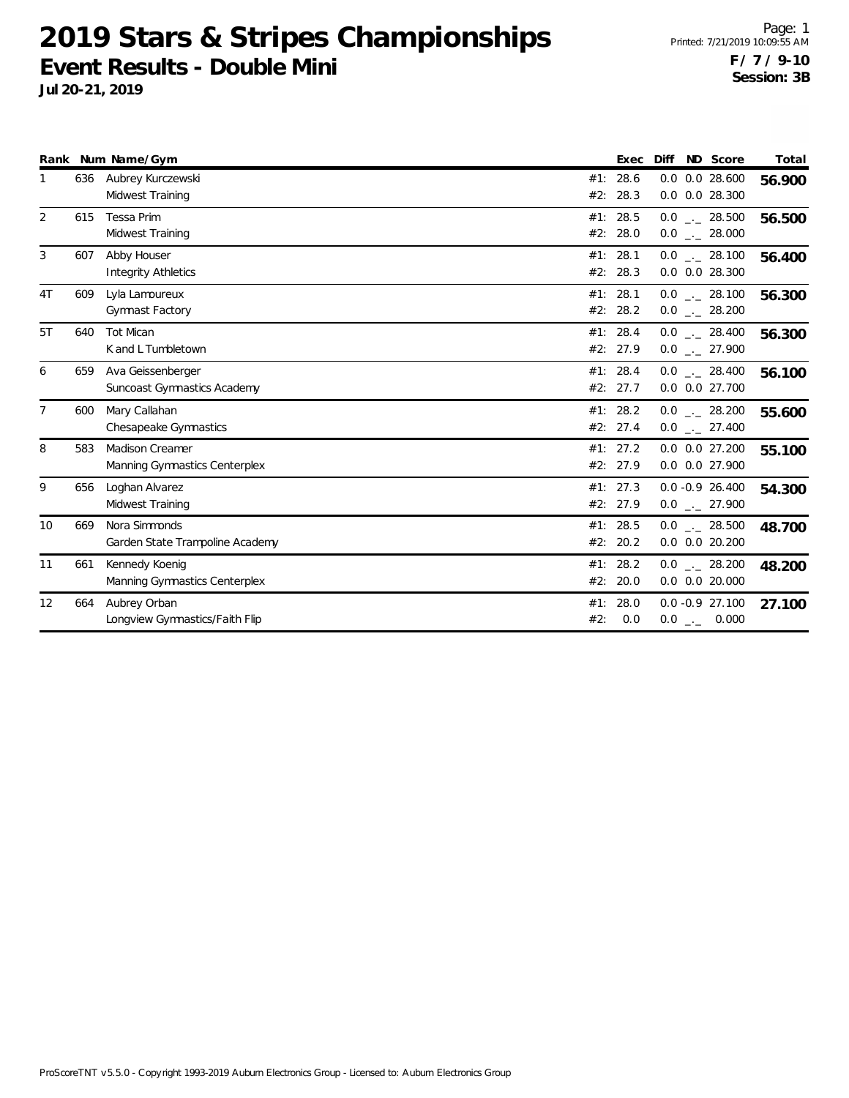|                |     | Rank Num Name/Gym                                       |            | Exec                 | Diff | ND Score                                         | Total  |
|----------------|-----|---------------------------------------------------------|------------|----------------------|------|--------------------------------------------------|--------|
| 1              | 636 | Aubrey Kurczewski<br>Midwest Training                   | #1:<br>#2: | 28.6<br>28.3         |      | $0.0$ $0.0$ 28.600<br>0.0 0.0 28.300             | 56.900 |
| 2              | 615 | Tessa Prim<br>Midwest Training                          |            | #1: 28.5<br>#2: 28.0 |      | $0.0$ _ 28.500<br>$0.0$ _._ 28.000               | 56.500 |
| 3              | 607 | Abby Houser<br><b>Integrity Athletics</b>               |            | #1: 28.1<br>#2: 28.3 |      | $0.0$ _._ 28.100<br>$0.0$ $0.0$ 28.300           | 56.400 |
| 4T             | 609 | Lyla Lamoureux<br>Gymnast Factory                       |            | #1: 28.1<br>#2: 28.2 |      | $0.0$ _ 28.100<br>$0.0$ _ 28.200                 | 56.300 |
| 5T             | 640 | <b>Tot Mican</b><br>K and L Tumbletown                  |            | #1: 28.4<br>#2: 27.9 |      | $0.0$ _._ 28.400<br>$0.0$ $_{\leftarrow}$ 27.900 | 56.300 |
| 6              | 659 | Ava Geissenberger<br>Suncoast Gymnastics Academy        |            | #1: 28.4<br>#2: 27.7 |      | $0.0$ _._ 28.400<br>0.0 0.0 27.700               | 56.100 |
| $\overline{7}$ | 600 | Mary Callahan<br>Chesapeake Gymnastics                  |            | #1: 28.2<br>#2: 27.4 |      | $0.0$ _._ 28.200<br>$0.0$ _ 27.400               | 55.600 |
| 8              | 583 | <b>Madison Creamer</b><br>Manning Gymnastics Centerplex |            | #1: 27.2<br>#2: 27.9 |      | $0.0$ $0.0$ 27.200<br>0.0 0.0 27.900             | 55.100 |
| 9              | 656 | Loghan Alvarez<br>Midwest Training                      |            | #1: 27.3<br>#2: 27.9 |      | $0.0 - 0.9 26.400$<br>$0.0$ _ 27.900             | 54.300 |
| 10             | 669 | Nora Simmonds<br>Garden State Trampoline Academy        |            | #1: 28.5<br>#2: 20.2 |      | $0.0$ _._ 28.500<br>$0.0$ $0.0$ 20.200           | 48.700 |
| 11             | 661 | Kennedy Koenig<br>Manning Gymnastics Centerplex         |            | #1: 28.2<br>#2: 20.0 |      | $0.0$ _ 28.200<br>$0.0$ $0.0$ 20.000             | 48.200 |
| 12             | 664 | Aubrey Orban<br>Longview Gymnastics/Faith Flip          | #1:<br>#2: | 28.0<br>0.0          |      | $0.0 - 0.9$ 27.100<br>$0.0$ _._ 0.000            | 27.100 |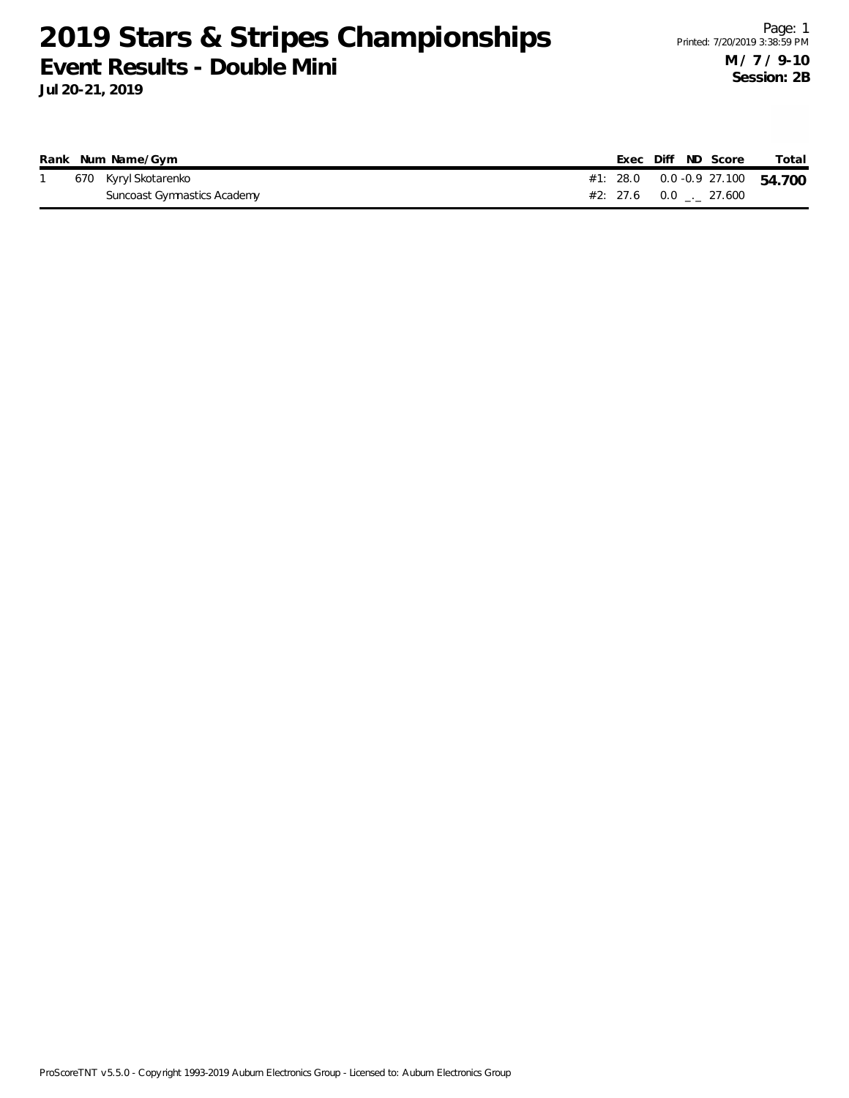|  | Rank Num Name/Gym           |  | Exec Diff ND Score |  | Total                                |
|--|-----------------------------|--|--------------------|--|--------------------------------------|
|  | 670 Kyryl Skotarenko        |  |                    |  | #1: 28.0  0.0  - 0.9  27.100  54.700 |
|  | Suncoast Gymnastics Academy |  |                    |  |                                      |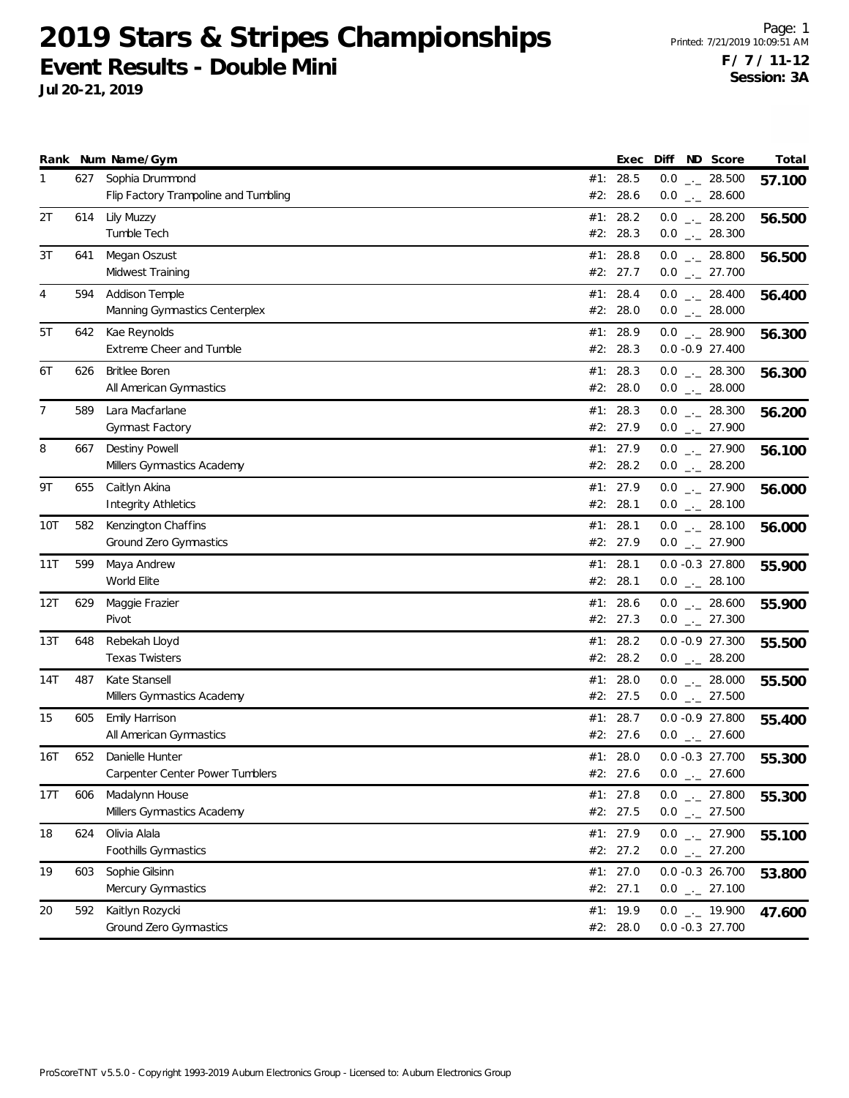|     |     | Rank Num Name/Gym                                           |     | Exec                   | Diff ND Score                             | Total  |
|-----|-----|-------------------------------------------------------------|-----|------------------------|-------------------------------------------|--------|
| 1   |     | 627 Sophia Drummond<br>Flip Factory Trampoline and Tumbling |     | #1: 28.5<br>#2: 28.6   | $0.0$ _ 28.500<br>$0.0$ _ 28.600          | 57.100 |
| 2T  | 614 | Lily Muzzy<br>Tumble Tech                                   |     | #1: 28.2<br>#2: 28.3   | $0.0$ _ 28.200<br>$0.0$ _ 28.300          | 56.500 |
| 3T  | 641 | Megan Oszust<br>Midwest Training                            |     | #1: 28.8<br>#2: 27.7   | $0.0$ _ 28.800<br>$0.0$ _ 27.700          | 56.500 |
| 4   | 594 | <b>Addison Temple</b><br>Manning Gymnastics Centerplex      |     | #1: 28.4<br>#2: 28.0   | $0.0$ _ 28.400<br>$0.0$ _._ 28.000        | 56.400 |
| 5T  | 642 | Kae Reynolds<br>Extreme Cheer and Tumble                    |     | #1: 28.9<br>#2: 28.3   | $0.0$ _ 28.900<br>$0.0 - 0.9 27.400$      | 56.300 |
| 6T  | 626 | <b>Britlee Boren</b><br>All American Gymnastics             |     | #1: 28.3<br>#2: 28.0   | $0.0$ _ 28.300<br>$0.0$ _ 28.000          | 56.300 |
| 7   | 589 | Lara Macfarlane<br>Gymnast Factory                          |     | #1: 28.3<br>#2: 27.9   | $0.0$ _ 28.300<br>$0.0$ _ 27.900          | 56.200 |
| 8   | 667 | Destiny Powell<br>Millers Gymnastics Academy                |     | #1: 27.9<br>#2: 28.2   | $0.0$ _ 27.900<br>$0.0$ _ 28.200          | 56.100 |
| 9Τ  | 655 | Caitlyn Akina<br><b>Integrity Athletics</b>                 |     | #1: 27.9<br>#2: 28.1   | $0.0$ _ 27.900<br>$0.0$ _ 28.100          | 56.000 |
| 10T | 582 | Kenzington Chaffins<br>Ground Zero Gymnastics               |     | #1: 28.1<br>#2: 27.9   | $0.0$ _._ 28.100<br>$0.0$ _ 27.900        | 56.000 |
| 11T | 599 | Maya Andrew<br>World Elite                                  |     | #1: 28.1<br>#2: 28.1   | $0.0 -0.3$ 27.800<br>$0.0$ _ 28.100       | 55.900 |
| 12T | 629 | Maggie Frazier<br>Pivot                                     |     | #1: 28.6<br>#2: 27.3   | $0.0$ _ 28.600<br>$0.0$ _ 27.300          | 55.900 |
| 13T | 648 | Rebekah Lloyd<br><b>Texas Twisters</b>                      |     | #1: 28.2<br>#2: 28.2   | $0.0 -0.9 27.300$<br>$0.0$ _ 28.200       | 55.500 |
| 14T | 487 | Kate Stansell<br>Millers Gymnastics Academy                 |     | #1: $28.0$<br>#2: 27.5 | $0.0$ _ 28.000<br>$0.0$ $_{-}$ 27.500     | 55.500 |
| 15  | 605 | Emily Harrison<br>All American Gymnastics                   | #1: | 28.7<br>#2: 27.6       | $0.0 - 0.9 27.800$<br>$0.0$ _ 27.600      | 55.400 |
| 16T | 652 | Danielle Hunter<br>Carpenter Center Power Tumblers          |     | #1: $28.0$<br>#2: 27.6 | $0.0 - 0.3 27.700$<br>$0.0$ . 27.600      | 55.300 |
| 17T | 606 | Madalynn House<br>Millers Gymnastics Academy                |     | #1: $27.8$<br>#2: 27.5 | $0.0$ _ 27.800<br>$0.0$ _ 27.500          | 55.300 |
| 18  | 624 | Olivia Alala<br>Foothills Gymnastics                        |     | #1: 27.9<br>#2: 27.2   | $0.0$ $_{-}$ 27.900<br>$0.0$ _ 27.200     | 55.100 |
| 19  | 603 | Sophie Gilsinn<br>Mercury Gymnastics                        |     | #1: 27.0<br>#2: 27.1   | $0.0 -0.3$ 26.700<br>$0.0$ _ 27.100       | 53.800 |
| 20  | 592 | Kaitlyn Rozycki<br>Ground Zero Gymnastics                   |     | #1: 19.9<br>#2: 28.0   | $0.0$ $_{-1}$ 19.900<br>$0.0 -0.3$ 27.700 | 47.600 |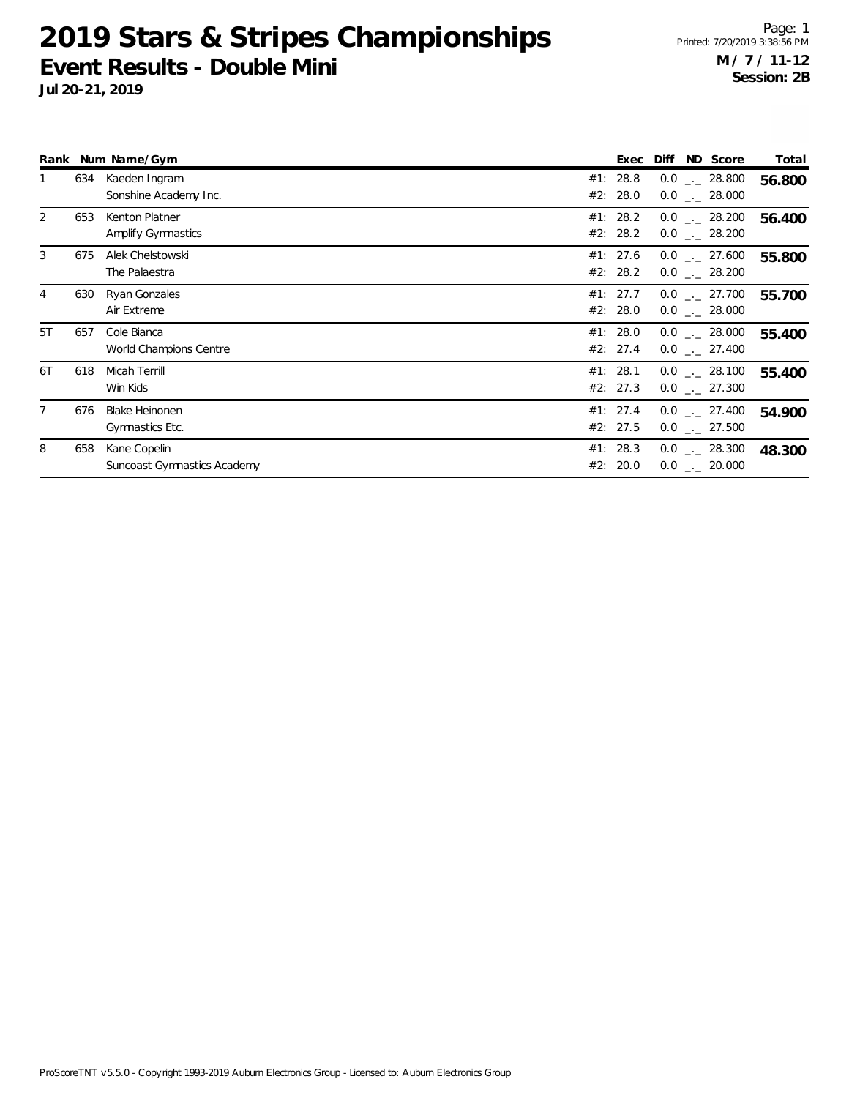|                |     | Rank Num Name/Gym                           | ND Score<br>Diff<br>Exec                                               | Total  |
|----------------|-----|---------------------------------------------|------------------------------------------------------------------------|--------|
| 1              | 634 | Kaeden Ingram<br>Sonshine Academy Inc.      | #1: 28.8<br>$0.0$ _._ 28.800<br>#2: 28.0<br>$0.0$ _._ 28.000           | 56.800 |
| $\overline{2}$ | 653 | Kenton Platner<br>Amplify Gymnastics        | #1: 28.2<br>$0.0$ _._ 28.200<br>#2: 28.2<br>$0.0$ _._ 28.200           | 56.400 |
| 3              | 675 | Alek Chelstowski<br>The Palaestra           | #1: 27.6<br>$0.0$ _ 27.600<br>#2: 28.2<br>$0.0$ . 28.200               | 55.800 |
| 4              | 630 | Ryan Gonzales<br>Air Extreme                | #1: 27.7<br>$0.0$ $_{\leftarrow}$ 27.700<br>#2: 28.0<br>$0.0$ _ 28.000 | 55.700 |
| 5T             | 657 | Cole Bianca<br>World Champions Centre       | #1: $28.0$<br>$0.0$ _._ 28.000<br>#2: 27.4<br>$0.0$ _._ 27.400         | 55.400 |
| 6T             | 618 | Micah Terrill<br>Win Kids                   | #1: 28.1<br>$0.0$ _._ 28.100<br>#2: 27.3<br>$0.0$ _._ 27.300           | 55.400 |
| 7              | 676 | <b>Blake Heinonen</b><br>Gymnastics Etc.    | #1: 27.4<br>$0.0$ _._ 27.400<br>#2: 27.5<br>$0.0$ $_{-}$ 27.500        | 54.900 |
| 8              | 658 | Kane Copelin<br>Suncoast Gymnastics Academy | #1: 28.3<br>$0.0$ _._ 28.300<br>#2: 20.0<br>$0.0$ _._ 20.000           | 48.300 |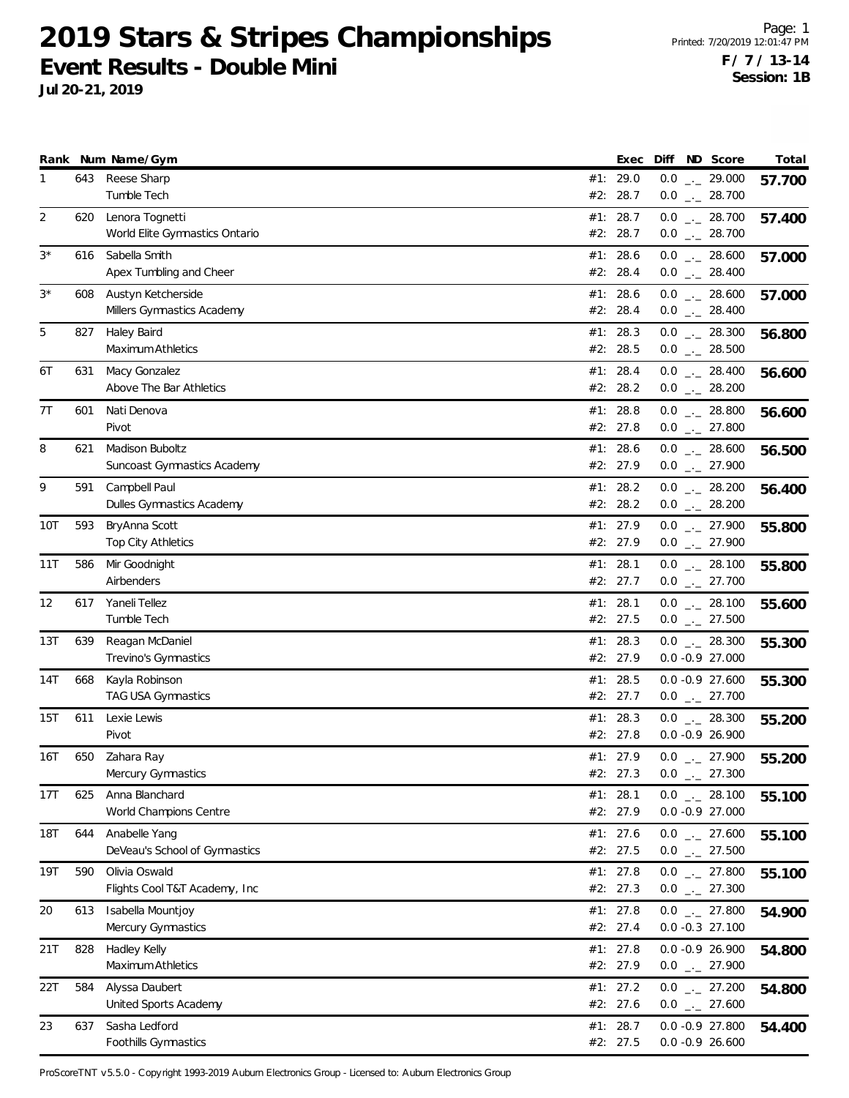**Jul 20-21, 2019**

|      |     | Rank Num Name/Gym                                 |     | Exec                   | Diff ND Score                            | Total  |
|------|-----|---------------------------------------------------|-----|------------------------|------------------------------------------|--------|
| 1    |     | 643 Reese Sharp<br>Tumble Tech                    |     | #1: 29.0<br>#2: 28.7   | $0.0$ _._ 29.000<br>$0.0$ _ 28.700       | 57.700 |
| 2    | 620 | Lenora Tognetti<br>World Elite Gymnastics Ontario |     | #1: 28.7<br>#2: 28.7   | $0.0$ _ 28.700<br>$0.0$ _ 28.700         | 57.400 |
| $3*$ | 616 | Sabella Smith<br>Apex Tumbling and Cheer          |     | #1: 28.6<br>#2: 28.4   | $0.0$ _ 28.600<br>$0.0$ _ 28.400         | 57.000 |
| $3*$ | 608 | Austyn Ketcherside<br>Millers Gymnastics Academy  |     | #1: 28.6<br>#2: 28.4   | $0.0$ _ 28.600<br>$0.0$ _ 28.400         | 57.000 |
| 5    | 827 | Haley Baird<br>Maximum Athletics                  |     | #1: 28.3<br>#2: 28.5   | $0.0$ _ 28.300<br>$0.0$ _ 28.500         | 56.800 |
| 6T   | 631 | Macy Gonzalez<br>Above The Bar Athletics          |     | #1: 28.4<br>#2: 28.2   | $0.0$ _ 28.400<br>$0.0$ _ 28.200         | 56.600 |
| 7T   | 601 | Nati Denova<br>Pivot                              |     | #1: 28.8<br>#2: 27.8   | $0.0$ _ 28.800<br>$0.0$ _ 27.800         | 56.600 |
| 8    | 621 | Madison Buboltz<br>Suncoast Gymnastics Academy    |     | #1: 28.6<br>#2: 27.9   | $0.0$ _ 28.600<br>$0.0$ _ 27.900         | 56.500 |
| 9    | 591 | Campbell Paul<br>Dulles Gymnastics Academy        |     | #1: 28.2<br>#2: 28.2   | $0.0$ _ 28.200<br>$0.0$ _ 28.200         | 56.400 |
| 10T  | 593 | BryAnna Scott<br>Top City Athletics               |     | #1: 27.9<br>#2: 27.9   | $0.0$ $_{-}$ 27.900<br>$0.0$ _ 27.900    | 55.800 |
| 11T  | 586 | Mir Goodnight<br>Airbenders                       |     | #1: 28.1<br>#2: 27.7   | $0.0$ _ 28.100<br>$0.0$ $_{-}$ 27.700    | 55.800 |
| 12   | 617 | Yaneli Tellez<br>Tumble Tech                      |     | #1: 28.1<br>#2: 27.5   | $0.0$ _ 28.100<br>$0.0$ _ 27.500         | 55.600 |
| 13T  | 639 | Reagan McDaniel<br>Trevino's Gymnastics           |     | #1: 28.3<br>#2: 27.9   | $0.0$ _ 28.300<br>$0.0 -0.9$ 27.000      | 55.300 |
| 14T  | 668 | Kayla Robinson<br><b>TAG USA Gymnastics</b>       |     | #1: 28.5<br>#2: 27.7   | $0.0 -0.9$ 27.600<br>$0.0$ $_{-}$ 27.700 | 55.300 |
| 15T  | 611 | Lexie Lewis<br>Pivot                              | #1: | 28.3<br>#2: 27.8       | $0.0$ _ 28.300<br>$0.0 - 0.9 26.900$     | 55.200 |
| 16T  | 650 | Zahara Ray<br>Mercury Gymnastics                  |     | #1: 27.9<br>#2: 27.3   | $0.0$ _ 27.900<br>$0.0$ . 27.300         | 55.200 |
| 17T  | 625 | Anna Blanchard<br>World Champions Centre          |     | #1: 28.1<br>#2: 27.9   | $0.0$ $_{-}$ 28.100<br>$0.0 -0.9 27.000$ | 55.100 |
| 18T  | 644 | Anabelle Yang<br>DeVeau's School of Gymnastics    |     | #1: 27.6<br>#2: 27.5   | $0.0$ _ 27.600<br>$0.0$ _ 27.500         | 55.100 |
| 19T  | 590 | Olivia Oswald<br>Flights Cool T&T Academy, Inc.   |     | #1: $27.8$<br>#2: 27.3 | $0.0$ _ 27.800<br>$0.0$ _ 27.300         | 55.100 |
| 20   | 613 | Isabella Mountjoy<br>Mercury Gymnastics           |     | #1: $27.8$<br>#2: 27.4 | $0.0$ $_{-}$ 27.800<br>$0.0 -0.3$ 27.100 | 54.900 |
| 21T  | 828 | Hadley Kelly<br>Maximum Athletics                 |     | #1: $27.8$<br>#2: 27.9 | $0.0 -0.9 26.900$<br>$0.0$ _ 27.900      | 54.800 |
| 22T  | 584 | Alyssa Daubert<br>United Sports Academy           |     | #1: 27.2<br>#2: 27.6   | $0.0$ $_{--}$ 27.200<br>$0.0$ _ 27.600   | 54.800 |
| 23   | 637 | Sasha Ledford<br>Foothills Gymnastics             |     | #1: 28.7<br>#2: 27.5   | $0.0 -0.9 27.800$<br>$0.0 -0.9 26.600$   | 54.400 |

ProScoreTNT v5.5.0 - Copyright 1993-2019 Auburn Electronics Group - Licensed to: Auburn Electronics Group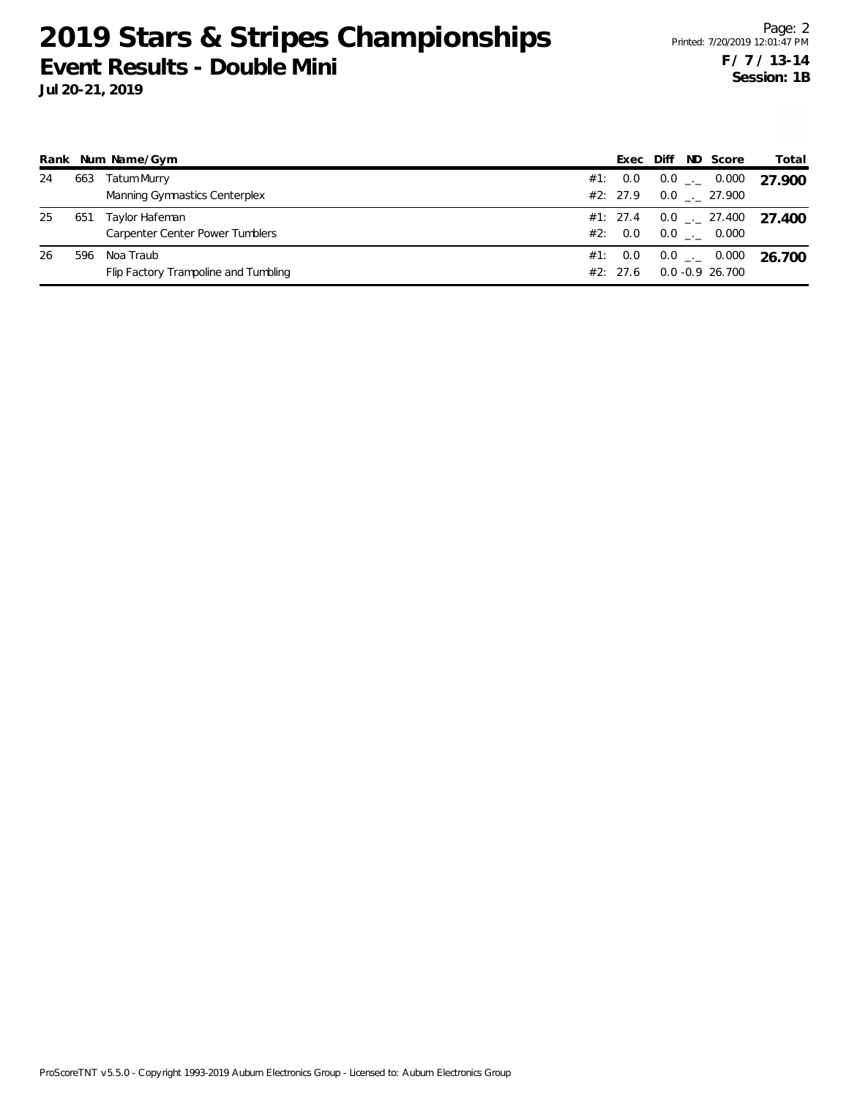|    |     | Rank Num Name/Gym                                   |     | Exec            | Diff | ND Score                                        | Total                            |
|----|-----|-----------------------------------------------------|-----|-----------------|------|-------------------------------------------------|----------------------------------|
| 24 | 663 | <b>Tatum Murry</b><br>Manning Gymnastics Centerplex | #1: | 0.0<br>#2: 27.9 |      | $0.0$ _._ 0.000<br>$0.0$ $_{\leftarrow}$ 27.900 | 27.900                           |
| 25 | 651 | Taylor Hafeman<br>Carpenter Center Power Tumblers   |     | #2: 0.0         |      | $0.0$ _._ 0.000                                 | #1: 27.4  0.0 $-$ 27.400  27.400 |
| 26 | 596 | Noa Traub<br>Flip Factory Trampoline and Tumbling   | #1: | 0.0<br>#2: 27.6 |      | $0.0$ _._ 0.000<br>$0.0 - 0.9$ 26.700           | 26.700                           |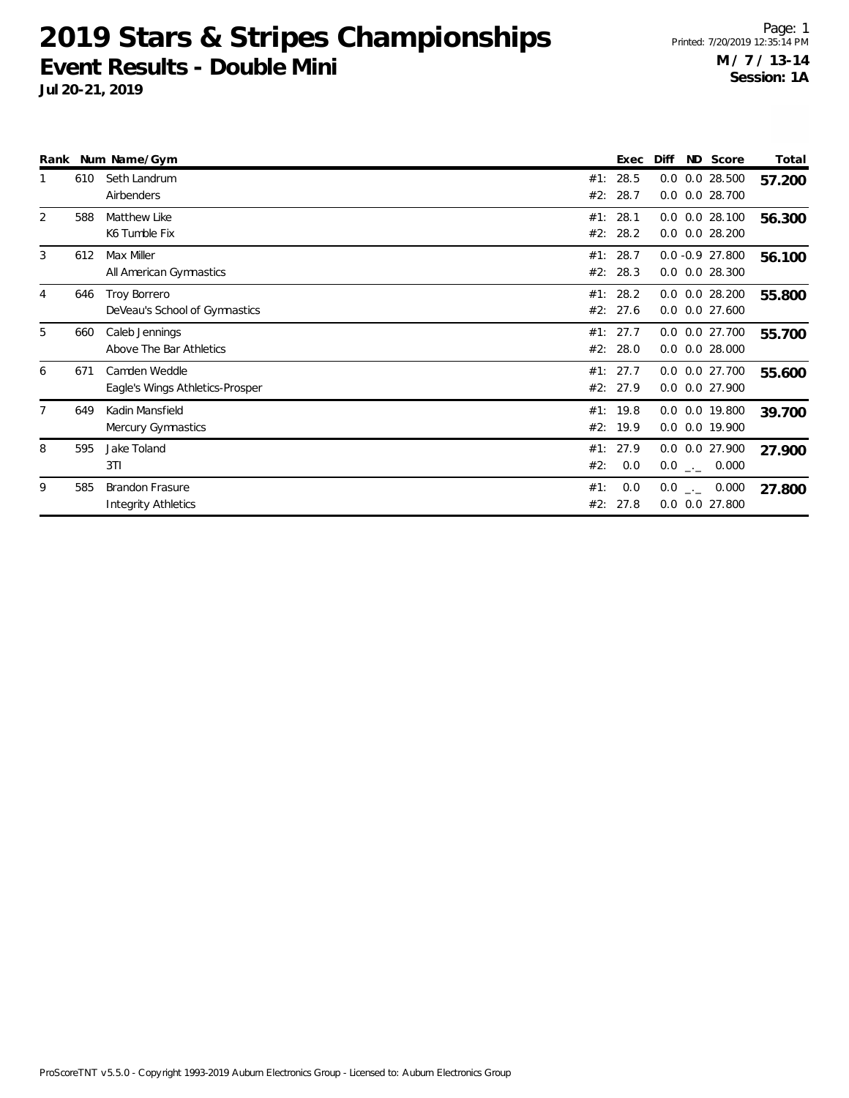|   |     | Rank Num Name/Gym                                    |            | Exec             | Diff | ND Score                                 | Total  |
|---|-----|------------------------------------------------------|------------|------------------|------|------------------------------------------|--------|
|   | 610 | Seth Landrum<br>Airbenders                           | #1:<br>#2: | 28.5<br>28.7     | 0.0  | 0.0 28.500<br>$0.0$ $0.0$ 28.700         | 57.200 |
| 2 | 588 | Matthew Like<br>K6 Tumble Fix                        | #1:<br>#2: | 28.1<br>28.2     |      | $0.0$ $0.0$ 28.100<br>$0.0$ $0.0$ 28.200 | 56.300 |
| 3 | 612 | Max Miller<br>All American Gymnastics                | #1:<br>#2: | 28.7<br>28.3     |      | $0.0 -0.9$ 27.800<br>$0.0$ $0.0$ 28.300  | 56.100 |
| 4 | 646 | Troy Borrero<br>DeVeau's School of Gymnastics        | #1:<br>#2: | 28.2<br>27.6     |      | $0.0$ $0.0$ 28.200<br>$0.0$ $0.0$ 27.600 | 55.800 |
| 5 | 660 | Caleb Jennings<br>Above The Bar Athletics            | #1:<br>#2: | 27.7<br>28.0     | 0.0  | 0.0 0.0 27.700<br>$0.0$ 28.000           | 55.700 |
| 6 | 671 | Camden Weddle<br>Eagle's Wings Athletics-Prosper     | #1:        | 27.7<br>#2: 27.9 | 0.0  | 0.0 0.0 27.700<br>0.0 27.900             | 55.600 |
|   | 649 | Kadin Mansfield<br>Mercury Gymnastics                | #2:        | #1: 19.8<br>19.9 |      | 0.0 0.0 19.800<br>0.0 0.0 19.900         | 39.700 |
| 8 | 595 | Jake Toland<br>3T1                                   | #1:<br>#2: | 27.9<br>0.0      |      | $0.0$ $0.0$ 27.900<br>$0.0$ _ 0.000      | 27.900 |
| 9 | 585 | <b>Brandon Frasure</b><br><b>Integrity Athletics</b> | #1:<br>#2: | 0.0<br>27.8      |      | $0.0$ _._ 0.000<br>$0.0$ $0.0$ 27.800    | 27.800 |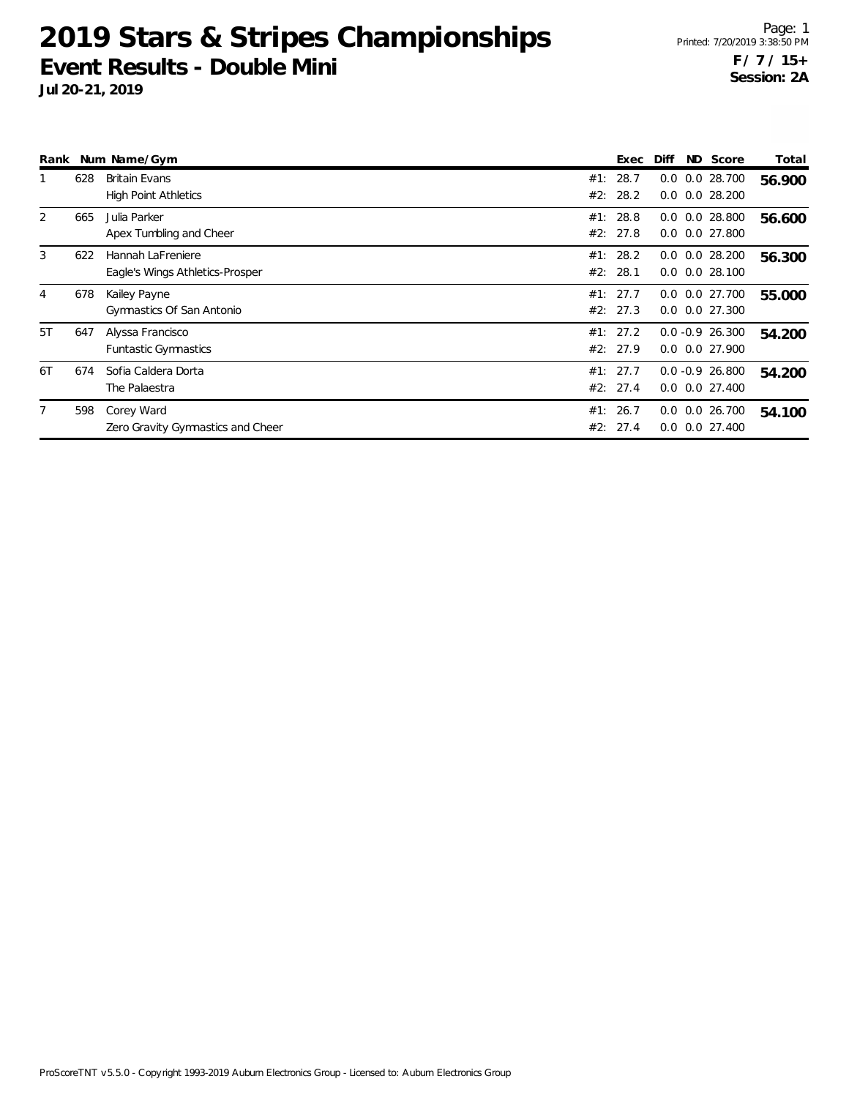| Rank |     | Num Name/Gym                                         |            | Exec                 | Diff                                     | ND Score | Total  |
|------|-----|------------------------------------------------------|------------|----------------------|------------------------------------------|----------|--------|
|      | 628 | <b>Britain Evans</b><br><b>High Point Athletics</b>  | #1:<br>#2: | 28.7<br>28.2         | $0.0$ $0.0$ 28.700<br>$0.0$ $0.0$ 28.200 |          | 56.900 |
| 2    | 665 | Julia Parker<br>Apex Tumbling and Cheer              | #1:        | 28.8<br>#2: 27.8     | $0.0$ $0.0$ 28.800<br>$0.0$ $0.0$ 27.800 |          | 56.600 |
| 3    | 622 | Hannah LaFreniere<br>Eagle's Wings Athletics-Prosper |            | #1: 28.2<br>#2: 28.1 | $0.0$ $0.0$ 28.200<br>$0.0$ $0.0$ 28.100 |          | 56.300 |
| 4    | 678 | Kailey Payne<br>Gymnastics Of San Antonio            |            | #1: 27.7<br>#2: 27.3 | 0.0 0.0 27.700<br>$0.0$ $0.0$ 27.300     |          | 55.000 |
| 5T   | 647 | Alyssa Francisco<br>Funtastic Gymnastics             |            | #1: 27.2<br>#2: 27.9 | $0.0 -0.9 26.300$<br>$0.0$ $0.0$ 27.900  |          | 54.200 |
| 6T   | 674 | Sofia Caldera Dorta<br>The Palaestra                 |            | #1: 27.7<br>#2: 27.4 | $0.0 -0.9 26.800$<br>$0.0$ $0.0$ 27.400  |          | 54.200 |
|      | 598 | Corey Ward<br>Zero Gravity Gymnastics and Cheer      |            | #1: 26.7<br>#2: 27.4 | $0.0$ $0.0$ 26.700<br>$0.0$ $0.0$ 27.400 |          | 54.100 |